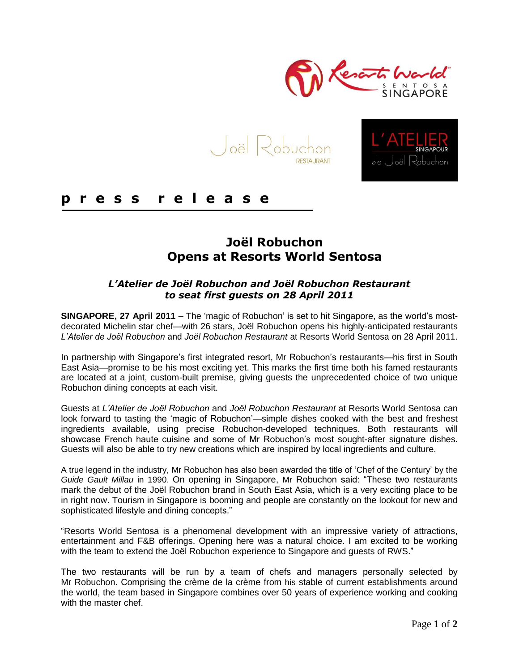

**RESTAURANT** 



# **p r e s s r e l e a s e**

# **Joël Robuchon Opens at Resorts World Sentosa**

## *L'Atelier de Joël Robuchon and Joël Robuchon Restaurant to seat first guests on 28 April 2011*

**SINGAPORE, 27 April 2011** – The 'magic of Robuchon' is set to hit Singapore, as the world's mostdecorated Michelin star chef—with 26 stars, Joël Robuchon opens his highly-anticipated restaurants *L'Atelier de Joël Robuchon* and *Joël Robuchon Restaurant* at Resorts World Sentosa on 28 April 2011.

In partnership with Singapore's first integrated resort, Mr Robuchon's restaurants—his first in South East Asia—promise to be his most exciting yet. This marks the first time both his famed restaurants are located at a joint, custom-built premise, giving guests the unprecedented choice of two unique Robuchon dining concepts at each visit.

Guests at *L'Atelier de Joël Robuchon* and *Joël Robuchon Restaurant* at Resorts World Sentosa can look forward to tasting the 'magic of Robuchon'—simple dishes cooked with the best and freshest ingredients available, using precise Robuchon-developed techniques. Both restaurants will showcase French haute cuisine and some of Mr Robuchon's most sought-after signature dishes. Guests will also be able to try new creations which are inspired by local ingredients and culture.

A true legend in the industry, Mr Robuchon has also been awarded the title of 'Chef of the Century' by the *Guide Gault Millau* in 1990. On opening in Singapore, Mr Robuchon said: "These two restaurants mark the debut of the Joël Robuchon brand in South East Asia, which is a very exciting place to be in right now. Tourism in Singapore is booming and people are constantly on the lookout for new and sophisticated lifestyle and dining concepts."

―Resorts World Sentosa is a phenomenal development with an impressive variety of attractions, entertainment and F&B offerings. Opening here was a natural choice. I am excited to be working with the team to extend the Joël Robuchon experience to Singapore and quests of RWS."

The two restaurants will be run by a team of chefs and managers personally selected by Mr Robuchon. Comprising the crème de la crème from his stable of current establishments around the world, the team based in Singapore combines over 50 years of experience working and cooking with the master chef.